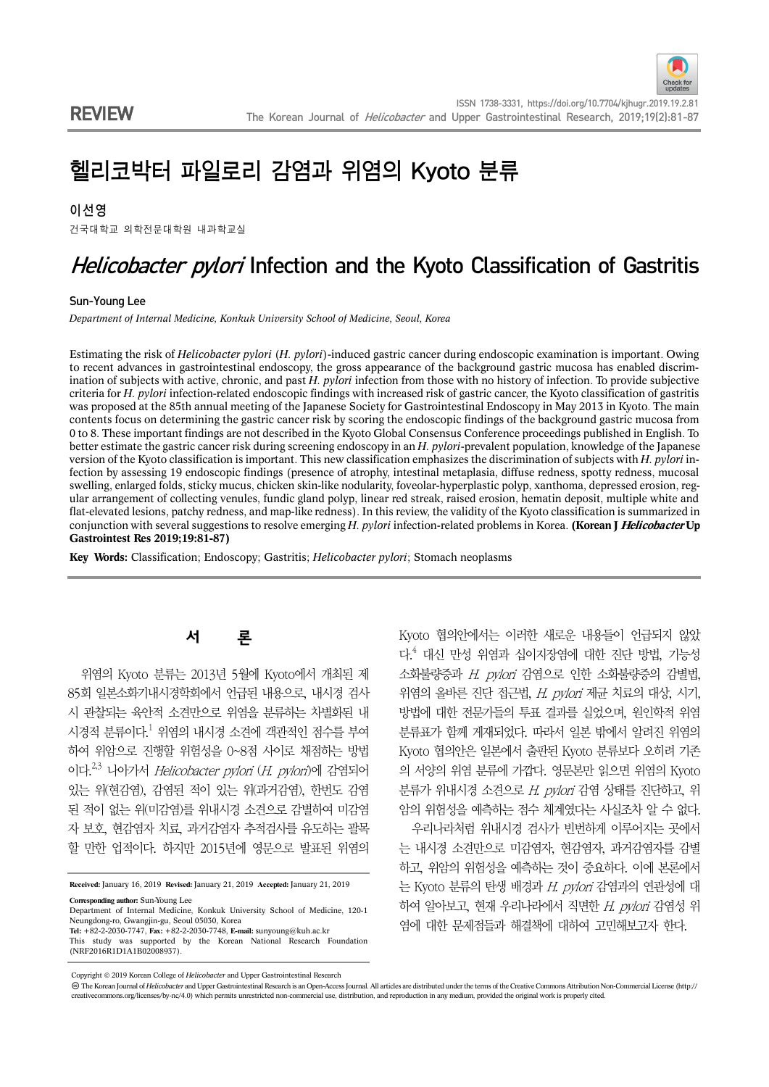# 헬리코박터 파일로리 감염과 위염의 Kyoto 분류

#### 이선영

건국대학교 의학전문대학원 내과학교실

# Helicobacter pylori Infection and the Kyoto Classification of Gastritis

#### Sun-Young Lee

*Department of Internal Medicine, Konkuk University School of Medicine, Seoul, Korea*

Estimating the risk of *Helicobacter pylori* (*H. pylori*)-induced gastric cancer during endoscopic examination is important. Owing to recent advances in gastrointestinal endoscopy, the gross appearance of the background gastric mucosa has enabled discrimination of subjects with active, chronic, and past *H. pylori* infection from those with no history of infection. To provide subjective criteria for *H. pylori* infection-related endoscopic findings with increased risk of gastric cancer, the Kyoto classification of gastritis was proposed at the 85th annual meeting of the Japanese Society for Gastrointestinal Endoscopy in May 2013 in Kyoto. The main contents focus on determining the gastric cancer risk by scoring the endoscopic findings of the background gastric mucosa from 0 to 8. These important findings are not described in the Kyoto Global Consensus Conference proceedings published in English. To better estimate the gastric cancer risk during screening endoscopy in an *H. pylori*-prevalent population, knowledge of the Japanese version of the Kyoto classification is important. This new classification emphasizes the discrimination of subjects with *H. pylori* infection by assessing 19 endoscopic findings (presence of atrophy, intestinal metaplasia, diffuse redness, spotty redness, mucosal swelling, enlarged folds, sticky mucus, chicken skin-like nodularity, foveolar-hyperplastic polyp, xanthoma, depressed erosion, regular arrangement of collecting venules, fundic gland polyp, linear red streak, raised erosion, hematin deposit, multiple white and flat-elevated lesions, patchy redness, and map-like redness). In this review, the validity of the Kyoto classification is summarized in conjunction with several suggestions to resolve emerging *H. pylori* infection-related problems in Korea. **(Korean J Helicobacter Up Gastrointest Res 2019;19:81-87)**

**Key Words:** Classification; Endoscopy; Gastritis; *Helicobacter pylori*; Stomach neoplasms

## 서 론

위염의 Kyoto 분류는 2013년 5월에 Kyoto에서 개최된 제 85회 일본소화기내시경학회에서 언급된 내용으로, 내시경 검사 시 관찰되는 육안적 소견만으로 위염을 분류하는 차별화된 내 시경적 분류이다. $^{\rm l}$  위염의 내시경 소견에 객관적인 점수를 부여 하여 위암으로 진행할 위험성을 0~8점 사이로 채점하는 방법 이다.2,3 나아가서 Helicobacter pylori (H. pylori)에 감염되어 있는 위(현감염), 감염된 적이 있는 위(과거감염), 한번도 감염 된 적이 없는 위(미감염)를 위내시경 소견으로 감별하여 미감염 자 보호, 현감염자 치료, 과거감염자 추적검사를 유도하는 괄목 할 만한 업적이다. 하지만 2015년에 영문으로 발표된 위염의

**Received:** January 16, 2019 **Revised:** January 21, 2019 **Accepted:** January 21, 2019

Kyoto 협의안에서는 이러한 새로운 내용들이 언급되지 않았 다.<sup>4</sup> 대신 만성 위염과 십이지장염에 대한 진단 방법, 기능성 소화불량증과 H. pylori 감염으로 인한 소화불량증의 감별법, 위염의 올바른 진단 접근법, H. pylori 제균 치료의 대상, 시기, 방법에 대한 전문가들의 투표 결과를 실었으며, 원인학적 위염 분류표가 함께 게재되었다. 따라서 일본 밖에서 알려진 위염의 Kyoto 협의안은 일본에서 출판된 Kyoto 분류보다 오히려 기존 의 서양의 위염 분류에 가깝다. 영문본만 읽으면 위염의 Kyoto 분류가 위내시경 소견으로 H. pylori 감염 상태를 진단하고, 위 암의 위험성을 예측하는 점수 체계였다는 사실조차 알 수 없다. 우리나라처럼 위내시경 검사가 빈번하게 이루어지는 곳에서 는 내시경 소견만으로 미감염자, 현감염자, 과거감염자를 감별 하고, 위암의 위험성을 예측하는 것이 중요하다. 이에 본론에서 는 Kyoto 분류의 탄생 배경과  $H.$  pylori 감염과의 연관성에 대 하여 알아보고, 현재 우리나라에서 직면한  $H.$  pylori 감염성 위 염에 대한 문제점들과 해결책에 대하여 고민해보고자 한다.

The Korean Journal of *Helicobacter* and Upper Gastrointestinal Research is an Open-Access Journal. All articles are distributed under the terms of the Creative Commons Attribution Non-Commercial License (http:// creativecommons.org/licenses/by-nc/4.0) which permits unrestricted non-commercial use, distribution, and reproduction in any medium, provided the original work is properly cited.

**Corresponding author:** Sun-Young Lee

Department of Internal Medicine, Konkuk University School of Medicine, 120-1 Neungdong-ro, Gwangjin-gu, Seoul 05030, Korea **Tel:** +82-2-2030-7747, **Fax:** +82-2-2030-7748, **E-mail:** sunyoung@kuh.ac.kr

This study was supported by the Korean National Research Foundation (NRF2016R1D1A1B02008937).

Copyright © 2019 Korean College of *Helicobacter* and Upper Gastrointestinal Research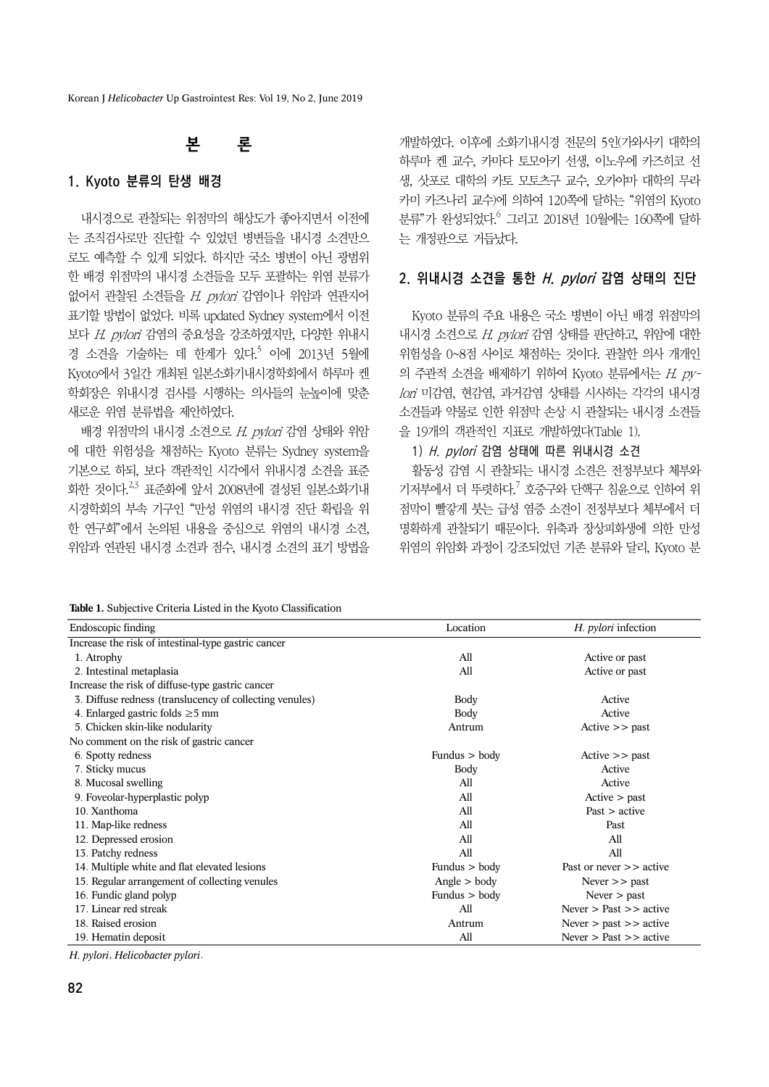Korean J *Helicobacter* Up Gastrointest Res: Vol 19, No 2, June 2019

# 본 론

#### 1. Kyoto 분류의 탄생 배경

내시경으로 관찰되는 위점막의 해상도가 좋아지면서 이전에 는 조직검사로만 진단할 수 있었던 병변들을 내시경 소견만으 로도 예측할 수 있게 되었다. 하지만 국소 병변이 아닌 광범위 한 배경 위점막의 내시경 소견들을 모두 포괄하는 위염 분류가 없어서 관찰된 소견들을  $H.$  pylori 감염이나 위암과 연관지어 표기할 방법이 없었다. 비록 updated Sydney system에서 이전 보다 H. pylori 감염의 중요성을 강조하였지만, 다양한 위내시 경 소견을 기술하는 데 한계가 있다.<sup>5</sup> 이에 2013년 5월에 Kyoto에서 3일간 개최된 일본소화기내시경학회에서 하루마 켄 학회장은 위내시경 검사를 시행하는 의사들의 눈높이에 맞춘 새로운 위염 분류법을 제안하였다.

배경 위점막의 내시경 소견으로 H. pylori 감염 상태와 위암 에 대한 위험성을 채점하는 Kyoto 분류는 Sydney system을 기본으로 하되, 보다 객관적인 시각에서 위내시경 소견을 표준 화한 것이다.<sup>2,3</sup> 표준화에 앞서 2008년에 결성된 일본소화기내 시경학회의 부속 기구인 "만성 위염의 내시경 진단 확립을 위 한 연구회"에서 논의된 내용을 중심으로 위염의 내시경 소견, 위암과 연관된 내시경 소견과 점수, 내시경 소견의 표기 방법을 개발하였다. 이후에 소화기내시경 전문의 5인(가와사키 대학의 하루마 켄 교수, 카마다 토모아키 선생, 이노우에 카즈히코 선 생, 삿포로 대학의 카토 모토츠구 교수, 오카야마 대학의 무라 카미 카즈나리 교수)에 의하여 120쪽에 달하는 "위염의 Kyoto 분류"가 완성되었다. <sup>6</sup> 그리고 2018년 10월에는 160쪽에 달하 는 개정판으로 거듭났다.

#### 2. 위내시경 소견을 통한 H. pylori 감염 상태의 진단

Kyoto 분류의 주요 내용은 국소 병변이 아닌 배경 위점막의 내시경 소견으로 H. pylori 감염 상태를 판단하고, 위암에 대한 위험성을 0~8점 사이로 채점하는 것이다. 관찰한 의사 개개인 의 주관적 소견을 배제하기 위하여 Kyoto 분류에서는 H. pylori 미감염, 현감염, 과거감염 상태를 시사하는 각각의 내시경 소견들과 약물로 인한 위점막 손상 시 관찰되는 내시경 소견들 을 19개의 객관적인 지표로 개발하였다(Table 1).

1) H. pylori 감염 상태에 따른 위내시경 소견

활동성 감염 시 관찰되는 내시경 소견은 전정부보다 체부와 기저부에서 더 뚜렷하다.<sup>7</sup> 호중구와 단핵구 침윤으로 인하여 위 점막이 빨갛게 붓는 급성 염증 소견이 전정부보다 체부에서 더 명확하게 관찰되기 때문이다. 위축과 장상피화생에 의한 만성 위염의 위암화 과정이 강조되었던 기존 분류와 달리, Kyoto 분

**Table 1.** Subjective Criteria Listed in the Kyoto Classification

| Endoscopic finding                                      | Location        | H. <i>pylori</i> infection    |
|---------------------------------------------------------|-----------------|-------------------------------|
| Increase the risk of intestinal-type gastric cancer     |                 |                               |
| 1. Atrophy                                              | All             | Active or past                |
| 2. Intestinal metaplasia                                | All             | Active or past                |
| Increase the risk of diffuse-type gastric cancer        |                 |                               |
| 3. Diffuse redness (translucency of collecting venules) | Body            | Active                        |
| 4. Enlarged gastric folds $\geq$ 5 mm                   | Body            | Active                        |
| 5. Chicken skin-like nodularity                         | Antrum          | $Active \gt\gt$ past          |
| No comment on the risk of gastric cancer                |                 |                               |
| 6. Spotty redness                                       | Fundus $>$ body | $Active \gt\gt$ past          |
| 7. Sticky mucus                                         | Body            | Active                        |
| 8. Mucosal swelling                                     | All             | Active                        |
| 9. Foveolar-hyperplastic polyp                          | All             | Active > past                 |
| 10. Xanthoma                                            | All             | $\text{Fast} > \text{active}$ |
| 11. Map-like redness                                    | All             | Past                          |
| 12. Depressed erosion                                   | All             | All                           |
| 13. Patchy redness                                      | All             | All                           |
| 14. Multiple white and flat elevated lesions            | Fundus $>$ body | Past or never $\gt$ active    |
| 15. Regular arrangement of collecting venules           | Angle > body    | Never $\gt$ past              |
| 16. Fundic gland polyp                                  | Fundus $>$ body | Never $>$ past                |
| 17. Linear red streak                                   | All             | Never $>$ Past $>>$ active    |
| 18. Raised erosion                                      | Antrum          | Never $>$ past $>>$ active    |
| 19. Hematin deposit                                     | All             | Never $>$ Past $>>$ active    |

*H. pylori*, *Helicobacter pylori*.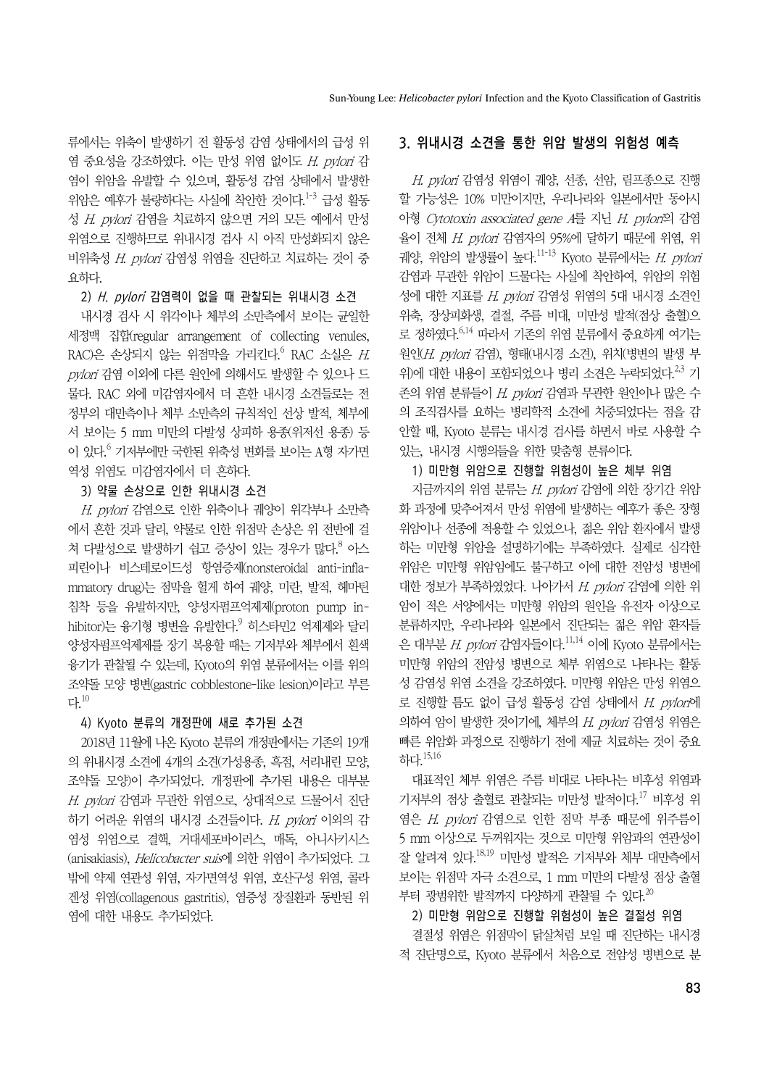류에서는 위축이 발생하기 전 활동성 감염 상태에서의 급성 위 염 중요성을 강조하였다. 이는 만성 위염 없이도 H. pylori 감 염이 위암을 유발할 수 있으며, 활동성 감염 상태에서 발생한 위암은 예후가 불량하다는 사실에 착안한 것이다.<sup>1-3</sup> 급성 활동 성 H. pylori 감염을 치료하지 않으면 거의 모든 예에서 만성 위염으로 진행하므로 위내시경 검사 시 아직 만성화되지 않은 비위축성 H. pylori 감염성 위염을 진단하고 치료하는 것이 중 요하다.

#### 2) H. pylori 감염력이 없을 때 관찰되는 위내시경 소견

내시경 검사 시 위각이나 체부의 소만측에서 보이는 균일한 세정맥 집합(regular arrangement of collecting venules, RAC)은 손상되지 않는 위점막을 가리킨다. $^6$  RAC 소실은  $H$ . pylori 감염 이외에 다른 원인에 의해서도 발생할 수 있으나 드 물다. RAC 외에 미감염자에서 더 흔한 내시경 소견들로는 전 정부의 대만측이나 체부 소만측의 규칙적인 선상 발적, 체부에 서 보이는 5 mm 미만의 다발성 상피하 용종(위저선 용종) 등 이 있다.<sup>6</sup> 기저부에만 국한된 위축성 변화를 보이는 A형 자가면 역성 위염도 미감염자에서 더 흔하다.

#### 3) 약물 손상으로 인한 위내시경 소견

H. pylori 감염으로 인한 위축이나 궤양이 위각부나 소만측 에서 흔한 것과 달리, 약물로 인한 위점막 손상은 위 전반에 걸 쳐 다발성으로 발생하기 쉽고 증상이 있는 경우가 많다.<sup>8</sup> 아스 피린이나 비스테로이드성 항염증제(nonsteroidal anti-inflammatory drug)는 점막을 헐게 하여 궤양, 미란, 발적, 헤마틴 침착 등을 유발하지만, 양성자펌프억제제(proton pump inhibitor)는 융기형 병변을 유발한다.<sup>9</sup> 히스타민2 억제제와 달리 양성자펌프억제제를 장기 복용할 때는 기저부와 체부에서 흰색 융기가 관찰될 수 있는데, Kyoto의 위염 분류에서는 이를 위의 조약돌 모양 병변(gastric cobblestone-like lesion)이라고 부른 다.10

#### 4) Kyoto 분류의 개정판에 새로 추가된 소견

2018년 11월에 나온 Kyoto 분류의 개정판에서는 기존의 19개 의 위내시경 소견에 4개의 소견(가성용종, 흑점, 서리내린 모양, 조약돌 모양)이 추가되었다. 개정판에 추가된 내용은 대부분 H. pylori 감염과 무관한 위염으로, 상대적으로 드물어서 진단 하기 어려운 위염의 내시경 소견들이다.  $H.$  pylori 이외의 감 염성 위염으로 결핵, 거대세포바이러스, 매독, 아니사키시스 (anisakiasis), Helicobacter suis에 의한 위염이 추가되었다. 그 밖에 약제 연관성 위염, 자가면역성 위염, 호산구성 위염, 콜라 겐성 위염(collagenous gastritis), 염증성 장질환과 동반된 위 염에 대한 내용도 추가되었다.

#### 3. 위내시경 소견을 통한 위암 발생의 위험성 예측

H. pylori 감염성 위염이 궤양, 선종, 선암, 림프종으로 진행 할 가능성은 10% 미만이지만, 우리나라와 일본에서만 동아시 아형 Cytotoxin associated gene A를 지닌 H. pylori의 감염 율이 전체 H. pylori 감염자의 95%에 달하기 때문에 위염, 위 궤양, 위암의 발생률이 높다. $^{11-13}$  Kyoto 분류에서는 H. pylori 감염과 무관한 위암이 드물다는 사실에 착안하여, 위암의 위험 성에 대한 지표를 H. pylori 감염성 위염의 5대 내시경 소견인 위축, 장상피화생, 결절, 주름 비대, 미만성 발적(점상 출혈)으 로 정하였다.6,14 따라서 기존의 위염 분류에서 중요하게 여기는 원인(H. pylori 감염), 형태(내시경 소견), 위치(병변의 발생 부 위)에 대한 내용이 포함되었으나 병리 소견은 누락되었다.<sup>2,3</sup> 기 존의 위염 분류들이 H. pylori 감염과 무관한 원인이나 많은 수 의 조직검사를 요하는 병리학적 소견에 치중되었다는 점을 감 안할 때, Kyoto 분류는 내시경 검사를 하면서 바로 사용할 수 있는, 내시경 시행의들을 위한 맞춤형 분류이다.

#### 1) 미만형 위암으로 진행할 위험성이 높은 체부 위염

지금까지의 위염 분류는 H. pylori 감염에 의한 장기간 위암 화 과정에 맞추어져서 만성 위염에 발생하는 예후가 좋은 장형 위암이나 선종에 적용할 수 있었으나, 젊은 위암 환자에서 발생 하는 미만형 위암을 설명하기에는 부족하였다. 실제로 심각한 위암은 미만형 위암임에도 불구하고 이에 대한 전암성 병변에 대한 정보가 부족하였었다. 나아가서 H. pylori 감염에 의한 위 암이 적은 서양에서는 미만형 위암의 원인을 유전자 이상으로 분류하지만, 우리나라와 일본에서 진단되는 젊은 위암 환자들 은 대부분 H. pylori 감염자들이다.<sup>11,14</sup> 이에 Kyoto 분류에서는 미만형 위암의 전암성 병변으로 체부 위염으로 나타나는 활동 성 감염성 위염 소견을 강조하였다. 미만형 위암은 만성 위염으 로 진행할 틈도 없이 급성 활동성 감염 상태에서 H. pylor에 의하여 암이 발생한 것이기에, 체부의 H. pvlori 감염성 위염은 빠른 위암화 과정으로 진행하기 전에 제균 치료하는 것이 중요 하다  $15,16$ 

대표적인 체부 위염은 주름 비대로 나타나는 비후성 위염과 기저부의 점상 출혈로 관찰되는 미만성 발적이다.17 비후성 위 염은 H. pylori 감염으로 인한 점막 부종 때문에 위주름이 5 mm 이상으로 두꺼워지는 것으로 미만형 위암과의 연관성이 잘 알려져 있다.18,19 미만성 발적은 기저부와 체부 대만측에서 보이는 위점막 자극 소견으로, 1 mm 미만의 다발성 점상 출혈 부터 광범위한 발적까지 다양하게 관찰될 수 있다.<sup>20</sup>

#### 2) 미만형 위암으로 진행할 위험성이 높은 결절성 위염

결절성 위염은 위점막이 닭살처럼 보일 때 진단하는 내시경 적 진단명으로, Kyoto 분류에서 처음으로 전암성 병변으로 분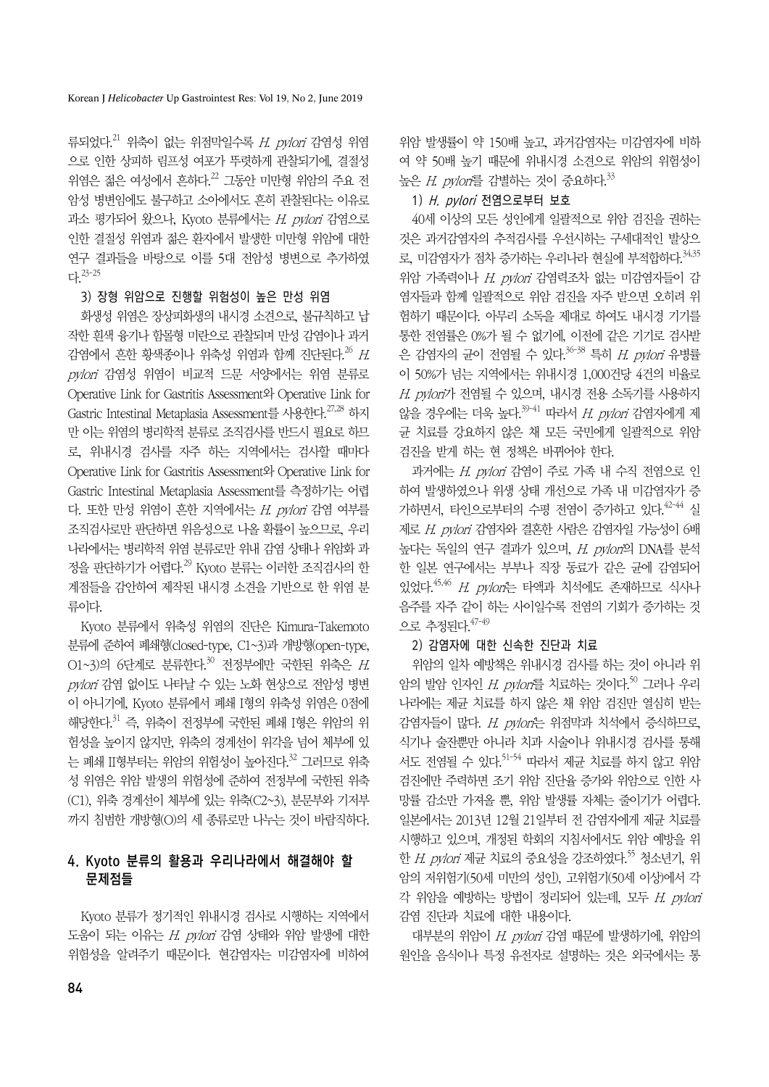류되었다.<sup>21</sup> 위축이 없는 위점막일수록 H. pylori 감염성 위염 으로 인한 상피하 림프성 여포가 뚜렷하게 관찰되기에, 결절성 위염은 젊은 여성에서 흔하다.22 그동안 미만형 위암의 주요 전 암성 병변임에도 불구하고 소아에서도 흔히 관찰된다는 이유로 과소 평가되어 왔으나, Kyoto 분류에서는 H. pylori 감염으로 인한 결절성 위염과 젊은 환자에서 발생한 미만형 위암에 대한 연구 결과들을 바탕으로 이를 5대 전암성 병변으로 추가하였 다.23-25

### 3) 장형 위암으로 진행할 위험성이 높은 만성 위염

화생성 위염은 장상피화생의 내시경 소견으로, 불규칙하고 납 작한 흰색 융기나 함몰형 미란으로 관찰되며 만성 감염이나 과거 감염에서 흔한 황색종이나 위축성 위염과 함께 진단된다.<sup>26</sup> H. pylori 감염성 위염이 비교적 드문 서양에서는 위염 분류로 Operative Link for Gastritis Assessment와 Operative Link for Gastric Intestinal Metaplasia Assessment를 사용한다.<sup>27,28</sup> 하지 만 이는 위염의 병리학적 분류로 조직검사를 반드시 필요로 하므 로, 위내시경 검사를 자주 하는 지역에서는 검사할 때마다 Operative Link for Gastritis Assessment와 Operative Link for Gastric Intestinal Metaplasia Assessment를 측정하기는 어렵 다. 또한 만성 위염이 흔한 지역에서는  $H.$  pvlori 감염 여부를 조직검사로만 판단하면 위음성으로 나올 확률이 높으므로, 우리 나라에서는 병리학적 위염 분류로만 위내 감염 상태나 위암화 과 정을 판단하기가 어렵다.<sup>29</sup> Kyoto 분류는 이러한 조직검사의 한 계점들을 감안하여 제작된 내시경 소견을 기반으로 한 위염 분 류이다.

Kyoto 분류에서 위축성 위염의 진단은 Kimura-Takemoto 분류에 준하여 폐쇄형(closed-type, C1~3)과 개방형(open-type, O1~3)의 6단계로 분류한다.<sup>30</sup> 전정부에만 국한된 위축은 H. pylori 감염 없이도 나타날 수 있는 노화 현상으로 전암성 병변 이 아니기에, Kyoto 분류에서 폐쇄 I형의 위축성 위염은 0점에 해당한다.  $31$  즉, 위축이 전정부에 국한된 폐쇄 I형은 위암의 위 험성을 높이지 않지만, 위축의 경계선이 위각을 넘어 체부에 있 는 폐쇄 II형부터는 위암의 위험성이 높아진다.<sup>32</sup> 그러므로 위축 성 위염은 위암 발생의 위험성에 준하여 전정부에 국한된 위축 (C1), 위축 경계선이 체부에 있는 위축(C2~3), 분문부와 기저부 까지 침범한 개방형(O)의 세 종류로만 나누는 것이 바람직하다.

## 4. Kyoto 분류의 활용과 우리나라에서 해결해야 할 문제점들

Kyoto 분류가 정기적인 위내시경 검사로 시행하는 지역에서 도움이 되는 이유는 H. pylori 감염 상태와 위암 발생에 대한 위험성을 알려주기 때문이다. 현감염자는 미감염자에 비하여

위암 발생률이 약 150배 높고, 과거감염자는 미감염자에 비하 여 약 50배 높기 때문에 위내시경 소견으로 위암의 위험성이 높은 H. pylor를 감별하는 것이 중요하다.<sup>33</sup>

## 1) H. pylori 전염으로부터 보호

40세 이상의 모든 성인에게 일괄적으로 위암 검진을 권하는 것은 과거감염자의 추적검사를 우선시하는 구세대적인 발상으 로, 미감염자가 점차 증가하는 우리나라 현실에 부적합하다.  $34,35$ 위암 가족력이나 H. pylori 감염력조차 없는 미감염자들이 감 염자들과 함께 일괄적으로 위암 검진을 자주 받으면 오히려 위 험하기 때문이다. 아무리 소독을 제대로 하여도 내시경 기기를 통한 전염률은 0%가 될 수 없기에, 이전에 같은 기기로 검사받 은 감염자의 균이 전염될 수 있다.  $36-38$  특히 H. pylori 유병률 이 50%가 넘는 지역에서는 위내시경 1,000건당 4건의 비율로  $H.$  pylori가 전염될 수 있으며, 내시경 전용 소독기를 사용하지 않을 경우에는 더욱 높다.  $39-41$  따라서 H. pylori 감염자에게 제 균 치료를 강요하지 않은 채 모든 국민에게 일괄적으로 위암 검진을 받게 하는 현 정책은 바뀌어야 한다.

과거에는 H. pylori 감염이 주로 가족 내 수직 전염으로 인 하여 발생하였으나 위생 상태 개선으로 가족 내 미감염자가 증 가하면서, 타인으로부터의 수평 전염이 증가하고 있다.  $42-44$  실 제로 H. pylori 감염자와 결혼한 사람은 감염자일 가능성이 6배 높다는 독일의 연구 결과가 있으며, H. pylori의 DNA를 분석 한 일본 연구에서는 부부나 직장 동료가 같은 균에 감염되어 있었다. 45,46 H. pvlori는 타액과 치석에도 존재하므로 식사나 음주를 자주 같이 하는 사이일수록 전염의 기회가 증가하는 것 **으로 추정된다.** 47-49

## 2) 감염자에 대한 신속한 진단과 치료

위암의 일차 예방책은 위내시경 검사를 하는 것이 아니라 위 암의 발암 인자인 H. pylori를 치료하는 것이다.<sup>50</sup> 그러나 우리 나라에는 제균 치료를 하지 않은 채 위암 검진만 열심히 받는 감염자들이 많다. H. pylori는 위점막과 치석에서 증식하므로, 식기나 술잔뿐만 아니라 치과 시술이나 위내시경 검사를 통해 서도 전염될 수 있다.<sup>51-54</sup> 따라서 제균 치료를 하지 않고 위암 검진에만 주력하면 조기 위암 진단율 증가와 위암으로 인한 사 망률 감소만 가져올 뿐, 위암 발생률 자체는 줄이기가 어렵다. 일본에서는 2013년 12월 21일부터 전 감염자에게 제균 치료를 시행하고 있으며, 개정된 학회의 지침서에서도 위암 예방을 위 한 *H. pvlori* 제규 치료의 중요성을 강조하였다.<sup>55</sup> 청소년기, 위 암의 저위험기(50세 미만의 성인), 고위험기(50세 이상)에서 각 각 위암을 예방하는 방법이 정리되어 있는데, 모두 H. pylori 감염 진단과 치료에 대한 내용이다.

대부분의 위암이 H. pylori 감염 때문에 발생하기에, 위암의 원인을 음식이나 특정 유전자로 설명하는 것은 외국에서는 통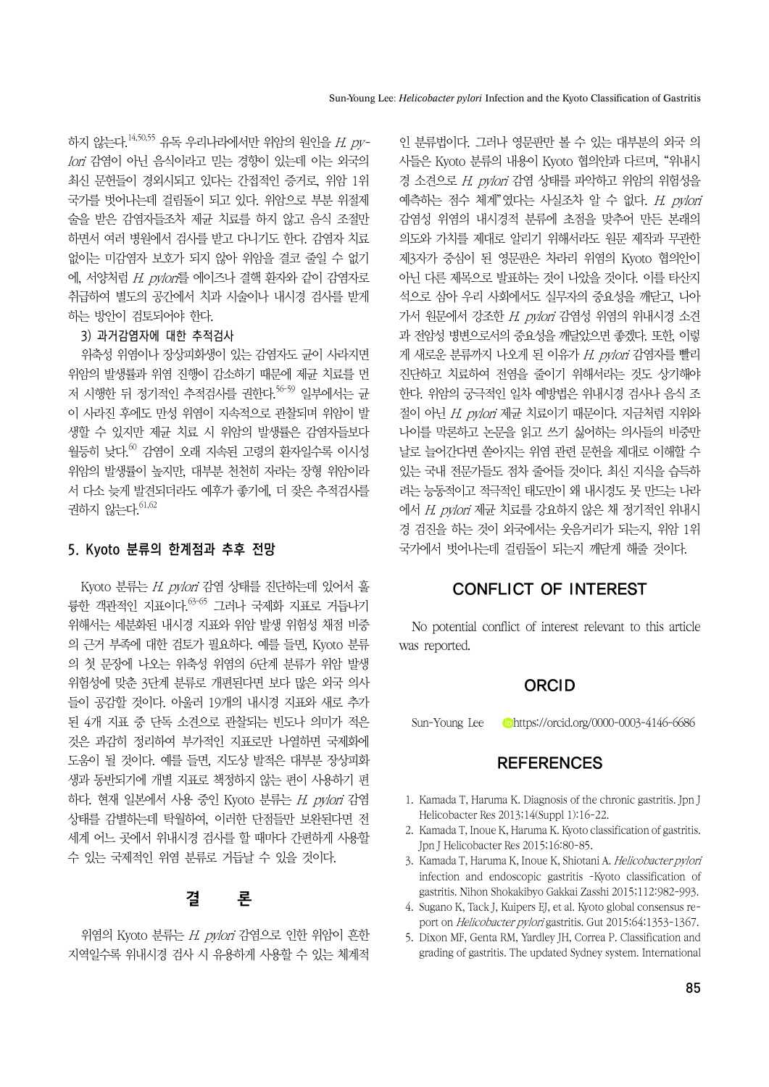하지 않는다.<sup>14,50,55</sup> 유독 우리나라에서만 위암의 워인을 H. pvlori 감염이 아닌 음식이라고 믿는 경향이 있는데 이는 외국의 최신 문헌들이 경외시되고 있다는 간접적인 증거로, 위암 1위 국가를 벗어나는데 걸림돌이 되고 있다. 위암으로 부분 위절제 술을 받은 감염자들조차 제균 치료를 하지 않고 음식 조절만 하면서 여러 병원에서 검사를 받고 다니기도 한다. 감염자 치료 없이는 미감염자 보호가 되지 않아 위암을 결코 줄일 수 없기 에, 서양처럼 H. pylori를 에이즈나 결핵 환자와 같이 감염자로 취급하여 별도의 공간에서 치과 시술이나 내시경 검사를 받게 하는 방안이 검토되어야 한다.

#### 3) 과거감염자에 대한 추적검사

위축성 위염이나 장상피화생이 있는 감염자도 균이 사라지면 위암의 발생률과 위염 진행이 감소하기 때문에 제균 치료를 먼 저 시행한 뒤 정기적인 추적검사를 권한다.<sup>56-59</sup> 일부에서는 규 이 사라진 후에도 만성 위염이 지속적으로 관찰되며 위암이 발 생할 수 있지만 제균 치료 시 위암의 발생률은 감염자들보다  $2\frac{1}{5}$ 히 낮다. $^{60}$  감염이 오래 지속된 고령의 환자일수록 이시성 위암의 발생률이 높지만, 대부분 천천히 자라는 장형 위암이라 서 다소 늦게 발견되더라도 예후가 좋기에, 더 잦은 추적검사를 권하지 않는다.  $61,62$ 

## 5. Kyoto 분류의 한계점과 추후 전망

Kyoto 분류는  $H.$  pylori 감염 상태를 진단하는데 있어서 훌 륭한 객관적인 지표이다.63-65 그러나 국제화 지표로 거듭나기 위해서는 세분화된 내시경 지표와 위암 발생 위험성 채점 비중 의 근거 부족에 대한 검토가 필요하다. 예를 들면, Kyoto 분류 의 첫 문장에 나오는 위축성 위염의 6단계 분류가 위암 발생 위험성에 맞춘 3단계 분류로 개편된다면 보다 많은 외국 의사 들이 공감할 것이다. 아울러 19개의 내시경 지표와 새로 추가 된 4개 지표 중 단독 소견으로 관찰되는 빈도나 의미가 적은 것은 과감히 정리하여 부가적인 지표로만 나열하면 국제화에 도움이 될 것이다. 예를 들면, 지도상 발적은 대부분 장상피화 생과 동반되기에 개별 지표로 책정하지 않는 편이 사용하기 편 하다. 현재 일본에서 사용 중인 Kyoto 분류는 H. pylori 감염 상태를 감별하는데 탁월하여, 이러한 단점들만 보완된다면 전 세계 어느 곳에서 위내시경 검사를 할 때마다 간편하게 사용할 수 있는 국제적인 위염 분류로 거듭날 수 있을 것이다.

# 결 론

위염의 Kyoto 분류는 H. pylori 감염으로 인한 위암이 흔한 지역일수록 위내시경 검사 시 유용하게 사용할 수 있는 체계적

인 분류법이다. 그러나 영문판만 볼 수 있는 대부분의 외국 의 사들은 Kyoto 분류의 내용이 Kyoto 협의안과 다르며, "위내시 경 소견으로 H. pylori 감염 상태를 파악하고 위암의 위험성을 예측하는 점수 체계"였다는 사실조차 알 수 없다.  $H.$  pylori 감염성 위염의 내시경적 분류에 초점을 맞추어 만든 본래의 의도와 가치를 제대로 알리기 위해서라도 원문 제작과 무관한 제3자가 중심이 된 영문판은 차라리 위염의 Kyoto 협의안이 아닌 다른 제목으로 발표하는 것이 나았을 것이다. 이를 타산지 석으로 삼아 우리 사회에서도 실무자의 중요성을 깨닫고, 나아 가서 원문에서 강조한  $H.$  pylori 감염성 위염의 위내시경 소견 과 전암성 병변으로서의 중요성을 깨달았으면 좋겠다. 또한, 이렇 게 새로운 분류까지 나오게 된 이유가 H. pylori 감염자를 빨리 진단하고 치료하여 전염을 줄이기 위해서라는 것도 상기해야 한다. 위암의 궁극적인 일차 예방법은 위내시경 검사나 음식 조 절이 아닌 H. pylori 제균 치료이기 때문이다. 지금처럼 지위와 나이를 막론하고 논문을 읽고 쓰기 싫어하는 의사들의 비중만 날로 늘어간다면 쏟아지는 위염 관련 문헌을 제대로 이해할 수 있는 국내 전문가들도 점차 줄어들 것이다. 최신 지식을 습득하 려는 능동적이고 적극적인 태도만이 왜 내시경도 못 만드는 나라 에서 H. pylori 제균 치료를 강요하지 않은 채 정기적인 위내시 경 검진을 하는 것이 외국에서는 웃음거리가 되는지, 위암 1위 국가에서 벗어나는데 걸림돌이 되는지 깨닫게 해줄 것이다.

## CONFLICT OF INTEREST

No potential conflict of interest relevant to this article was reported.

### **ORCID**

Sun-Young Lee https://orcid.org/0000-0003-4146-6686

## **REFERENCES**

- 1. Kamada T, Haruma K. Diagnosis of the chronic gastritis. Jpn J Helicobacter Res 2013;14(Suppl 1):16-22.
- 2. Kamada T, Inoue K, Haruma K. Kyoto classification of gastritis. Jpn J Helicobacter Res 2015;16:80-85.
- 3. Kamada T, Haruma K, Inoue K, Shiotani A. Helicobacter pylori infection and endoscopic gastritis -Kyoto classification of gastritis. Nihon Shokakibyo Gakkai Zasshi 2015;112:982-993.
- 4. Sugano K, Tack J, Kuipers EJ, et al. Kyoto global consensus report on Helicobacter pylori gastritis. Gut 2015;64:1353-1367.
- 5. Dixon MF, Genta RM, Yardley JH, Correa P. Classification and grading of gastritis. The updated Sydney system. International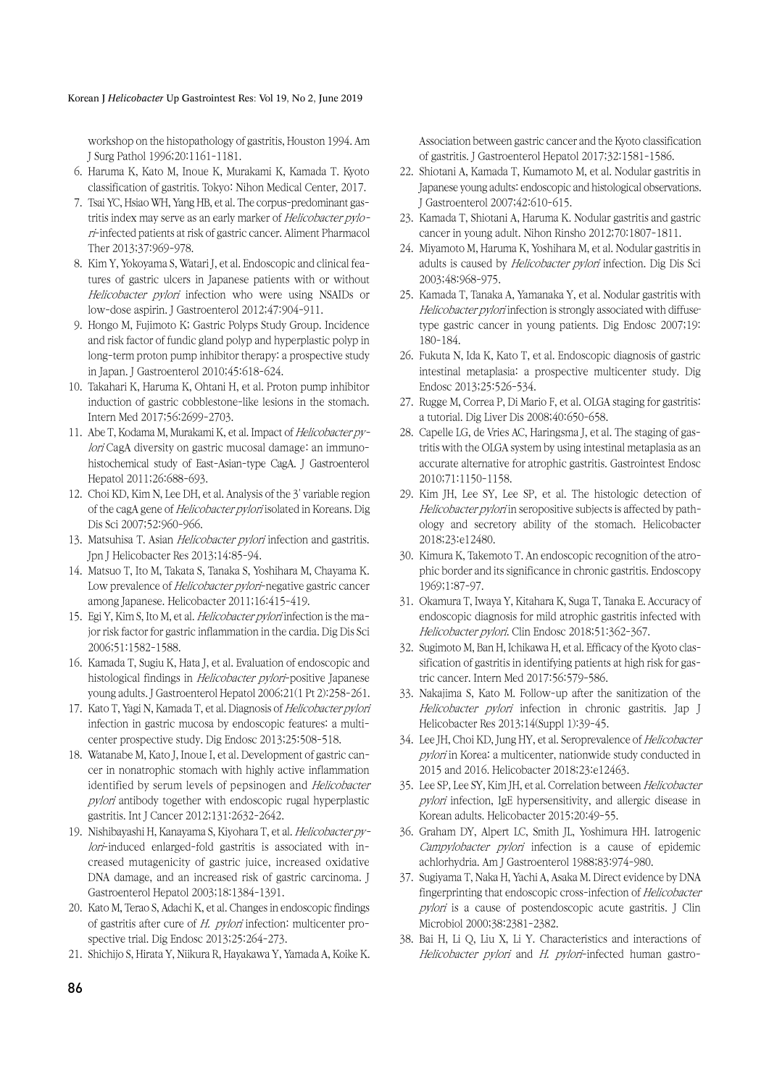#### Korean J *Helicobacter* Up Gastrointest Res: Vol 19, No 2, June 2019

workshop on the histopathology of gastritis, Houston 1994. Am J Surg Pathol 1996;20:1161-1181.

- 6. Haruma K, Kato M, Inoue K, Murakami K, Kamada T. Kyoto classification of gastritis. Tokyo: Nihon Medical Center, 2017.
- 7. Tsai YC, Hsiao WH, Yang HB, et al. The corpus-predominant gastritis index may serve as an early marker of Helicobacter pylori-infected patients at risk of gastric cancer. Aliment Pharmacol Ther 2013;37:969-978.
- 8. Kim Y, Yokoyama S, Watari J, et al. Endoscopic and clinical features of gastric ulcers in Japanese patients with or without Helicobacter pylori infection who were using NSAIDs or low-dose aspirin. J Gastroenterol 2012;47:904-911.
- 9. Hongo M, Fujimoto K; Gastric Polyps Study Group. Incidence and risk factor of fundic gland polyp and hyperplastic polyp in long-term proton pump inhibitor therapy: a prospective study in Japan. J Gastroenterol 2010;45:618-624.
- 10. Takahari K, Haruma K, Ohtani H, et al. Proton pump inhibitor induction of gastric cobblestone-like lesions in the stomach. Intern Med 2017;56:2699-2703.
- 11. Abe T, Kodama M, Murakami K, et al. Impact of *Helicobacter py*lori CagA diversity on gastric mucosal damage: an immunohistochemical study of East-Asian-type CagA. J Gastroenterol Hepatol 2011;26:688-693.
- 12. Choi KD, Kim N, Lee DH, et al. Analysis of the 3' variable region of the cagA gene of Helicobacter pylori isolated in Koreans. Dig Dis Sci 2007;52:960-966.
- 13. Matsuhisa T. Asian *Helicobacter pylori* infection and gastritis. Jpn J Helicobacter Res 2013;14:85-94.
- 14. Matsuo T, Ito M, Takata S, Tanaka S, Yoshihara M, Chayama K. Low prevalence of Helicobacter pylori-negative gastric cancer among Japanese. Helicobacter 2011;16:415-419.
- 15. Egi Y, Kim S, Ito M, et al. Helicobacter pylori infection is the major risk factor for gastric inflammation in the cardia. Dig Dis Sci 2006;51:1582-1588.
- 16. Kamada T, Sugiu K, Hata J, et al. Evaluation of endoscopic and histological findings in Helicobacter pylori-positive Japanese young adults. J Gastroenterol Hepatol 2006;21(1 Pt 2):258-261.
- 17. Kato T, Yagi N, Kamada T, et al. Diagnosis of *Helicobacter pylori* infection in gastric mucosa by endoscopic features: a multicenter prospective study. Dig Endosc 2013;25:508-518.
- 18. Watanabe M, Kato J, Inoue I, et al. Development of gastric cancer in nonatrophic stomach with highly active inflammation identified by serum levels of pepsinogen and Helicobacter pylori antibody together with endoscopic rugal hyperplastic gastritis. Int J Cancer 2012;131:2632-2642.
- 19. Nishibayashi H, Kanayama S, Kiyohara T, et al. Helicobacter pylori-induced enlarged-fold gastritis is associated with increased mutagenicity of gastric juice, increased oxidative DNA damage, and an increased risk of gastric carcinoma. J Gastroenterol Hepatol 2003;18:1384-1391.
- 20. Kato M, Terao S, Adachi K, et al. Changes in endoscopic findings of gastritis after cure of H. pylori infection: multicenter prospective trial. Dig Endosc 2013;25:264-273.
- 21. Shichijo S, Hirata Y, Niikura R, Hayakawa Y, Yamada A, Koike K.

Association between gastric cancer and the Kyoto classification of gastritis. J Gastroenterol Hepatol 2017;32:1581-1586.

- 22. Shiotani A, Kamada T, Kumamoto M, et al. Nodular gastritis in Japanese young adults: endoscopic and histological observations. J Gastroenterol 2007;42:610-615.
- 23. Kamada T, Shiotani A, Haruma K. Nodular gastritis and gastric cancer in young adult. Nihon Rinsho 2012;70:1807-1811.
- 24. Miyamoto M, Haruma K, Yoshihara M, et al. Nodular gastritis in adults is caused by Helicobacter pylori infection. Dig Dis Sci 2003;48:968-975.
- 25. Kamada T, Tanaka A, Yamanaka Y, et al. Nodular gastritis with Helicobacter pylori infection is strongly associated with diffusetype gastric cancer in young patients. Dig Endosc 2007;19: 180-184.
- 26. Fukuta N, Ida K, Kato T, et al. Endoscopic diagnosis of gastric intestinal metaplasia: a prospective multicenter study. Dig Endosc 2013;25:526-534.
- 27. Rugge M, Correa P, Di Mario F, et al. OLGA staging for gastritis: a tutorial. Dig Liver Dis 2008;40:650-658.
- 28. Capelle LG, de Vries AC, Haringsma J, et al. The staging of gastritis with the OLGA system by using intestinal metaplasia as an accurate alternative for atrophic gastritis. Gastrointest Endosc 2010;71:1150-1158.
- 29. Kim JH, Lee SY, Lee SP, et al. The histologic detection of Helicobacter pylori in seropositive subjects is affected by pathology and secretory ability of the stomach. Helicobacter 2018;23:e12480.
- 30. Kimura K, Takemoto T. An endoscopic recognition of the atrophic border and its significance in chronic gastritis. Endoscopy 1969;1:87-97.
- 31. Okamura T, Iwaya Y, Kitahara K, Suga T, Tanaka E. Accuracy of endoscopic diagnosis for mild atrophic gastritis infected with Helicobacter pylori. Clin Endosc 2018;51:362-367.
- 32. Sugimoto M, Ban H, Ichikawa H, et al. Efficacy of the Kyoto classification of gastritis in identifying patients at high risk for gastric cancer. Intern Med 2017:56:579-586.
- 33. Nakajima S, Kato M. Follow-up after the sanitization of the Helicobacter pylori infection in chronic gastritis. Jap J Helicobacter Res 2013;14(Suppl 1):39-45.
- 34. Lee JH, Choi KD, Jung HY, et al. Seroprevalence of Helicobacter pylori in Korea: a multicenter, nationwide study conducted in 2015 and 2016. Helicobacter 2018;23:e12463.
- 35. Lee SP, Lee SY, Kim JH, et al. Correlation between Helicobacter pylori infection, IgE hypersensitivity, and allergic disease in Korean adults. Helicobacter 2015;20:49-55.
- 36. Graham DY, Alpert LC, Smith JL, Yoshimura HH. Iatrogenic Campylobacter pylori infection is a cause of epidemic achlorhydria. Am J Gastroenterol 1988;83:974-980.
- 37. Sugiyama T, Naka H, Yachi A, Asaka M. Direct evidence by DNA fingerprinting that endoscopic cross-infection of Helicobacter pylori is a cause of postendoscopic acute gastritis. J Clin Microbiol 2000;38:2381-2382.
- 38. Bai H, Li Q, Liu X, Li Y. Characteristics and interactions of Helicobacter pylori and H. pylori-infected human gastro-